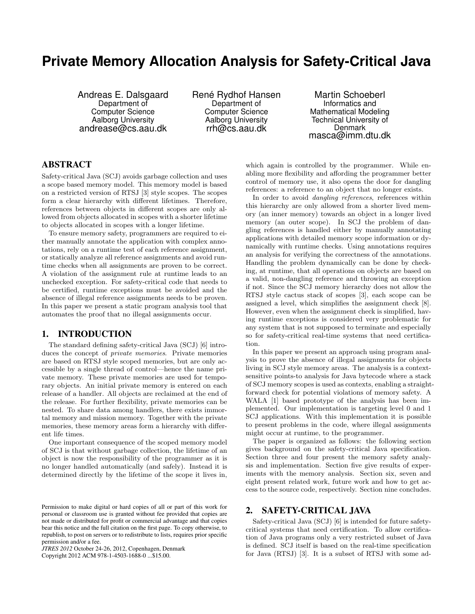# **Private Memory Allocation Analysis for Safety-Critical Java**

Andreas E. Dalsgaard Department of Computer Science Aalborg University andrease@cs.aau.dk

René Rydhof Hansen Department of Computer Science Aalborg University rrh@cs.aau.dk

Martin Schoeberl Informatics and Mathematical Modeling Technical University of Denmark masca@imm.dtu.dk

# ABSTRACT

Safety-critical Java (SCJ) avoids garbage collection and uses a scope based memory model. This memory model is based on a restricted version of RTSJ [\[3\]](#page-8-0) style scopes. The scopes form a clear hierarchy with different lifetimes. Therefore, references between objects in different scopes are only allowed from objects allocated in scopes with a shorter lifetime to objects allocated in scopes with a longer lifetime.

To ensure memory safety, programmers are required to either manually annotate the application with complex annotations, rely on a runtime test of each reference assignment, or statically analyze all reference assignments and avoid runtime checks when all assignments are proven to be correct. A violation of the assignment rule at runtime leads to an unchecked exception. For safety-critical code that needs to be certified, runtime exceptions must be avoided and the absence of illegal reference assignments needs to be proven. In this paper we present a static program analysis tool that automates the proof that no illegal assignments occur.

# 1. INTRODUCTION

The standard defining safety-critical Java (SCJ) [\[6\]](#page-8-1) introduces the concept of private memories. Private memories are based on RTSJ style scoped memories, but are only accessible by a single thread of control—hence the name private memory. These private memories are used for temporary objects. An initial private memory is entered on each release of a handler. All objects are reclaimed at the end of the release. For further flexibility, private memories can be nested. To share data among handlers, there exists immortal memory and mission memory. Together with the private memories, these memory areas form a hierarchy with different life times.

One important consequence of the scoped memory model of SCJ is that without garbage collection, the lifetime of an object is now the responsibility of the programmer as it is no longer handled automatically (and safely). Instead it is determined directly by the lifetime of the scope it lives in,

*JTRES 2012* October 24-26, 2012, Copenhagen, Denmark

Copyright 2012 ACM 978-1-4503-1688-0 ...\$15.00.

which again is controlled by the programmer. While enabling more flexibility and affording the programmer better control of memory use, it also opens the door for dangling references: a reference to an object that no longer exists.

In order to avoid *dangling references*, references within this hierarchy are only allowed from a shorter lived memory (an inner memory) towards an object in a longer lived memory (an outer scope). In SCJ the problem of dangling references is handled either by manually annotating applications with detailed memory scope information or dynamically with runtime checks. Using annotations requires an analysis for verifying the correctness of the annotations. Handling the problem dynamically can be done by checking, at runtime, that all operations on objects are based on a valid, non-dangling reference and throwing an exception if not. Since the SCJ memory hierarchy does not allow the RTSJ style cactus stack of scopes [\[3\]](#page-8-0), each scope can be assigned a level, which simplifies the assignment check [\[8\]](#page-8-2). However, even when the assignment check is simplified, having runtime exceptions is considered very problematic for any system that is not supposed to terminate and especially so for safety-critical real-time systems that need certification.

In this paper we present an approach using program analysis to prove the absence of illegal assignments for objects living in SCJ style memory areas. The analysis is a contextsensitive points-to analysis for Java bytecode where a stack of SCJ memory scopes is used as contexts, enabling a straightforward check for potential violations of memory safety. A WALA [\[1\]](#page-8-3) based prototype of the analysis has been implemented. Our implementation is targeting level 0 and 1 SCJ applications. With this implementation it is possible to present problems in the code, where illegal assignments might occur at runtime, to the programmer.

The paper is organized as follows: the following section gives background on the safety-critical Java specification. Section three and four present the memory safety analysis and implementation. Section five give results of experiments with the memory analysis. Section six, seven and eight present related work, future work and how to get access to the source code, respectively. Section nine concludes.

## 2. SAFETY-CRITICAL JAVA

Safety-critical Java (SCJ) [\[6\]](#page-8-1) is intended for future safetycritical systems that need certification. To allow certification of Java programs only a very restricted subset of Java is defined. SCJ itself is based on the real-time specification for Java (RTSJ) [\[3\]](#page-8-0). It is a subset of RTSJ with some ad-

Permission to make digital or hard copies of all or part of this work for personal or classroom use is granted without fee provided that copies are not made or distributed for profit or commercial advantage and that copies bear this notice and the full citation on the first page. To copy otherwise, to republish, to post on servers or to redistribute to lists, requires prior specific permission and/or a fee.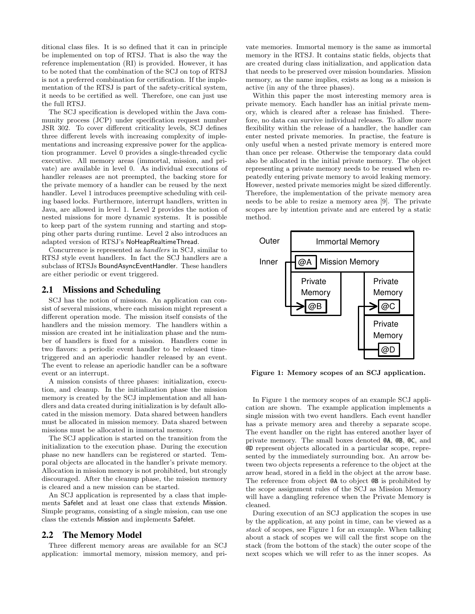ditional class files. It is so defined that it can in principle be implemented on top of RTSJ. That is also the way the reference implementation (RI) is provided. However, it has to be noted that the combination of the SCJ on top of RTSJ is not a preferred combination for certification. If the implementation of the RTSJ is part of the safety-critical system, it needs to be certified as well. Therefore, one can just use the full RTSJ.

The SCJ specification is developed within the Java community process (JCP) under specification request number JSR 302. To cover different criticality levels, SCJ defines three different levels with increasing complexity of implementations and increasing expressive power for the application programmer. Level 0 provides a single-threaded cyclic executive. All memory areas (immortal, mission, and private) are available in level 0. As individual executions of handler releases are not preempted, the backing store for the private memory of a handler can be reused by the next handler. Level 1 introduces preemptive scheduling with ceiling based locks. Furthermore, interrupt handlers, written in Java, are allowed in level 1. Level 2 provides the notion of nested missions for more dynamic systems. It is possible to keep part of the system running and starting and stopping other parts during runtime. Level 2 also introduces an adapted version of RTSJ's NoHeapRealtimeThread.

Concurrence is represented as handlers in SCJ, similar to RTSJ style event handlers. In fact the SCJ handlers are a subclass of RTSJs BoundAsyncEventHandler. These handlers are either periodic or event triggered.

## 2.1 Missions and Scheduling

SCJ has the notion of missions. An application can consist of several missions, where each mission might represent a different operation mode. The mission itself consists of the handlers and the mission memory. The handlers within a mission are created int he initialization phase and the number of handlers is fixed for a mission. Handlers come in two flavors: a periodic event handler to be released timetriggered and an aperiodic handler released by an event. The event to release an aperiodic handler can be a software event or an interrupt.

A mission consists of three phases: initialization, execution, and cleanup. In the initialization phase the mission memory is created by the SCJ implementation and all handlers and data created during initialization is by default allocated in the mission memory. Data shared between handlers must be allocated in mission memory. Data shared between missions must be allocated in immortal memory.

The SCJ application is started on the transition from the initialization to the execution phase. During the execution phase no new handlers can be registered or started. Temporal objects are allocated in the handler's private memory. Allocation in mission memory is not prohibited, but strongly discouraged. After the cleanup phase, the mission memory is cleared and a new mission can be started.

An SCJ application is represented by a class that implements Safelet and at least one class that extends Mission. Simple programs, consisting of a single mission, can use one class the extends Mission and implements Safelet.

## 2.2 The Memory Model

Three different memory areas are available for an SCJ application: immortal memory, mission memory, and private memories. Immortal memory is the same as immortal memory in the RTSJ. It contains static fields, objects that are created during class initialization, and application data that needs to be preserved over mission boundaries. Mission memory, as the name implies, exists as long as a mission is active (in any of the three phases).

Within this paper the most interesting memory area is private memory. Each handler has an initial private memory, which is cleared after a release has finished. Therefore, no data can survive individual releases. To allow more flexibility within the release of a handler, the handler can enter nested private memories. In practise, the feature is only useful when a nested private memory is entered more than once per release. Otherwise the temporary data could also be allocated in the initial private memory. The object representing a private memory needs to be reused when repeatedly entering private memory to avoid leaking memory. However, nested private memories might be sized differently. Therefore, the implementation of the private memory area needs to be able to resize a memory area [\[9\]](#page-8-4). The private scopes are by intention private and are entered by a static method.



<span id="page-1-0"></span>Figure 1: Memory scopes of an SCJ application.

In Figure [1](#page-1-0) the memory scopes of an example SCJ application are shown. The example application implements a single mission with two event handlers. Each event handler has a private memory area and thereby a separate scope. The event handler on the right has entered another layer of private memory. The small boxes denoted @A, @B, @C, and @D represent objects allocated in a particular scope, represented by the immediately surrounding box. An arrow between two objects represents a reference to the object at the arrow head, stored in a field in the object at the arrow base. The reference from object @A to object @B is prohibited by the scope assignment rules of the SCJ as Mission Memory will have a dangling reference when the Private Memory is cleaned.

During execution of an SCJ application the scopes in use by the application, at any point in time, can be viewed as a stack of scopes, see Figure [1](#page-1-0) for an example. When talking about a stack of scopes we will call the first scope on the stack (from the bottom of the stack) the outer scope of the next scopes which we will refer to as the inner scopes. As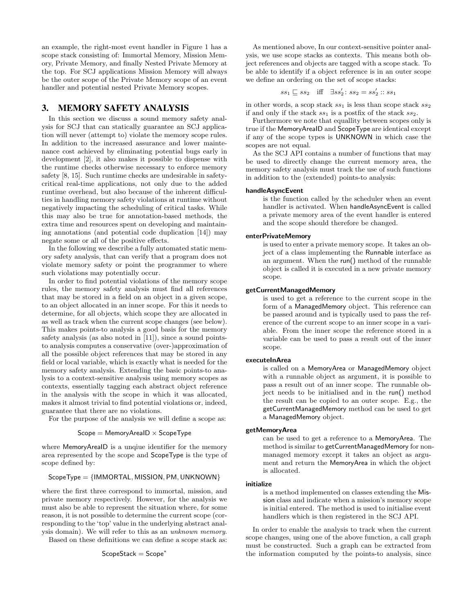an example, the right-most event handler in Figure [1](#page-1-0) has a scope stack consisting of: Immortal Memory, Mission Memory, Private Memory, and finally Nested Private Memory at the top. For SCJ applications Mission Memory will always be the outer scope of the Private Memory scope of an event handler and potential nested Private Memory scopes.

## <span id="page-2-0"></span>3. MEMORY SAFETY ANALYSIS

In this section we discuss a sound memory safety analysis for SCJ that can statically guarantee an SCJ application will never (attempt to) violate the memory scope rules. In addition to the increased assurance and lower maintenance cost achieved by eliminating potential bugs early in development [\[2\]](#page-8-5), it also makes it possible to dispense with the runtime checks otherwise necessary to enforce memory safety [\[8,](#page-8-2) [15\]](#page-8-6). Such runtime checks are undesirable in safetycritical real-time applications, not only due to the added runtime overhead, but also because of the inherent difficulties in handling memory safety violations at runtime without negatively impacting the scheduling of critical tasks. While this may also be true for annotation-based methods, the extra time and resources spent on developing and maintaining annotations (and potential code duplication [\[14\]](#page-8-7)) may negate some or all of the positive effects.

In the following we describe a fully automated static memory safety analysis, that can verify that a program does not violate memory safety or point the programmer to where such violations may potentially occur.

In order to find potential violations of the memory scope rules, the memory safety analysis must find all references that may be stored in a field on an object in a given scope, to an object allocated in an inner scope. For this it needs to determine, for all objects, which scope they are allocated in as well as track when the current scope changes (see below). This makes points-to analysis a good basis for the memory safety analysis (as also noted in [\[11\]](#page-8-8)), since a sound pointsto analysis computes a conservative (over-)approximation of all the possible object references that may be stored in any field or local variable, which is exactly what is needed for the memory safety analysis. Extending the basic points-to analysis to a context-sensitive analysis using memory scopes as contexts, essentially tagging each abstract object reference in the analysis with the scope in which it was allocated, makes it almost trivial to find potential violations or, indeed, guarantee that there are no violations.

For the purpose of the analysis we will define a scope as:

 $Scope = MemoryAreaID \times ScoreType$ 

where MemoryAreaID is a unqiue identifier for the memory area represented by the scope and ScopeType is the type of scope defined by:

$$
ScopeType = {IMMORTAL, MISSION, PM, UNKNOWN}
$$

where the first three correspond to immortal, mission, and private memory respectively. However, for the analysis we must also be able to represent the situation where, for some reason, it is not possible to determine the current scope (corresponding to the 'top' value in the underlying abstract analysis domain). We will refer to this as an unknown memory. Based on these definitions we can define a scope stack as:

$$
\begin{array}{c}\n\bullet \\
\bullet \\
\bullet \\
\bullet \\
\end{array}
$$

$$
{\sf ScopeStack} = {\sf Scope}^2
$$

As mentioned above, In our context-sensitive pointer analysis, we use scope stacks as contexts. This means both object references and objects are tagged with a scope stack. To be able to identify if a object reference is in an outer scope we define an ordering on the set of scope stacks:

$$
ss_1 \sqsubseteq ss_2 \quad \text{iff} \quad \exists ss_2' : ss_2 = ss_2' :: ss_1
$$

in other words, a scop stack  $ss_1$  is less than scope stack  $ss_2$ if and only if the stack  $ss_1$  is a postfix of the stack  $ss_2$ .

Furthermore we note that equallity between scopes only is true if the MemoryAreaID and ScopeType are identical except if any of the scope types is UNKNOWN in which case the scopes are not equal.

As the SCJ API contains a number of functions that may be used to directly change the current memory area, the memory safety analysis must track the use of such functions in addition to the (extended) points-to analysis:

## handleAsyncEvent

is the function called by the scheduler when an event handler is activated. When handleAsyncEvent is called a private memory area of the event handler is entered and the scope should therefore be changed.

#### enterPrivateMemory

is used to enter a private memory scope. It takes an object of a class implementing the Runnable interface as an argument. When the run() method of the runnable object is called it is executed in a new private memory scope.

#### getCurrentManagedMemory

is used to get a reference to the current scope in the form of a ManagedMemory object. This reference can be passed around and is typically used to pass the reference of the current scope to an inner scope in a variable. From the inner scope the reference stored in a variable can be used to pass a result out of the inner scope.

#### executeInArea

is called on a MemoryArea or ManagedMemory object with a runnable object as argument, it is possible to pass a result out of an inner scope. The runnable object needs to be initialised and in the run() method the result can be copied to an outer scope. E.g., the getCurrentManagedMemory method can be used to get a ManagedMemory object.

### getMemoryArea

can be used to get a reference to a MemoryArea. The method is similar to getCurrentManagedMemory for nonmanaged memory except it takes an object as argument and return the MemoryArea in which the object is allocated.

#### initialize

is a method implemented on classes extending the Mission class and indicate when a mission's memory scope is initial entered. The method is used to initialise event handlers which is then registered in the SCJ API.

In order to enable the analysis to track when the current scope changes, using one of the above function, a call graph must be constructed. Such a graph can be extracted from the information computed by the points-to analysis, since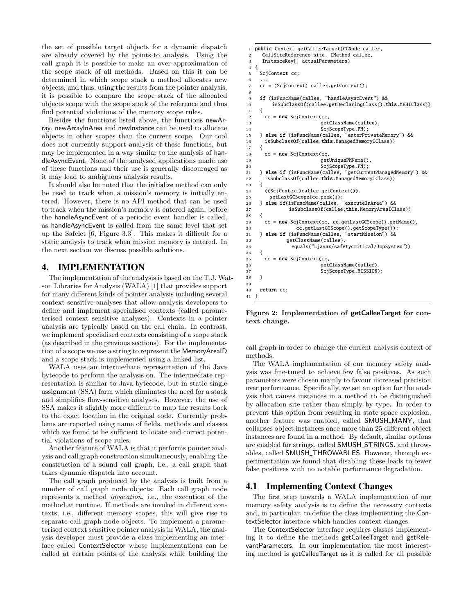the set of possible target objects for a dynamic dispatch are already covered by the points-to analysis. Using the call graph it is possible to make an over-approximation of the scope stack of all methods. Based on this it can be determined in which scope stack a method allocates new objects, and thus, using the results from the pointer analysis, it is possible to compare the scope stack of the allocated objects scope with the scope stack of the reference and thus find potential violations of the memory scope rules.

Besides the functions listed above, the functions newArray, newArrayInArea and newInstance can be used to allocate objects in other scopes than the current scope. Our tool does not currently support analysis of these functions, but may be implemented in a way similar to the analysis of handleAsyncEvent. None of the analysed applications made use of these functions and their use is generally discouraged as it may lead to ambiguous analysis results.

It should also be noted that the initialize method can only be used to track when a mission's memory is initially entered. However, there is no API method that can be used to track when the mission's memory is entered again, before the handleAsyncEvent of a periodic event handler is called, as handleAsyncEvent is called from the same level that set up the Safelet [\[6,](#page-8-1) Figure 3.3]. This makes it difficult for a static analysis to track when mission memory is entered. In the next section we discuss possible solutions.

# 4. IMPLEMENTATION

The implementation of the analysis is based on the T.J. Watson Libraries for Analysis (WALA) [\[1\]](#page-8-3) that provides support for many different kinds of pointer analysis including several context sensitive analyses that allow analysis developers to define and implement specialised contexts (called parameterised context sensitive analyses). Contexts in a pointer analysis are typically based on the call chain. In contrast, we implement specialised contexts consisting of a scope stack (as described in the previous sections). For the implementation of a scope we use a string to represent the MemoryAreaID and a scope stack is implemented using a linked list.

WALA uses an intermediate representation of the Java bytecode to perform the analysis on. The intermediate representation is similar to Java bytecode, but in static single assignment (SSA) form which eliminates the need for a stack and simplifies flow-sensitive analyses. However, the use of SSA makes it slightly more difficult to map the results back to the exact location in the original code. Currently problems are reported using name of fields, methods and classes which we found to be sufficient to locate and correct potential violations of scope rules.

Another feature of WALA is that it performs pointer analysis and call graph construction simultaneously, enabling the construction of a sound call graph, i.e., a call graph that takes dynamic dispatch into account.

The call graph produced by the analysis is built from a number of call graph node objects. Each call graph node represents a method invocation, i.e., the execution of the method at runtime. If methods are invoked in different contexts, i.e., different memory scopes, this will give rise to separate call graph node objects. To implement a parameterised context sensitive pointer analysis in WALA, the analysis developer must provide a class implementing an interface called ContextSelector whose implementations can be called at certain points of the analysis while building the

```
public Context getCalleeTarget(CGNode caller,
2 CallSiteReference site, IMethod callee,
3 InstanceKey[] actualParameters)
4 {
 5 ScjContext cc;
6 ...
7 cc = (ScjContext) caller.getContext();
8
9 if (isFuncName(callee, "handleAsyncEvent") &&
10 isSubclassOf(callee.getDeclaringClass(), this.MEHIClass))<br>11 {
11 {
12 cc = new ScjContext(cc,<br>13 QgetClassName(callee),
14 ScjScopeType.PM);
15 } else if (isFuncName(callee, "enterPrivateMemory") &&
16 isSubclassOf(callee, this.ManagedMemoryIClass))<br>17 {
17 {
18 cc = new ScjContext(cc,
19 getUniquePMName(),
20 ScjScopeType.PM);
21 } else if (isFuncName(callee, "getCurrentManagedMemory") &&
22 isSubclassOf(callee, this.ManagedMemoryIClass))
23 {
24 ((ScjContext)caller.getContext()).
25 setLastGCScope(cc.peek());
26 } else if(isFuncName(callee, "executeInArea") &&
27 isSubclassOf(callee,this.MemoryAreaIClass))
28 {
29 cc = new ScjContext(cc, cc.getLastGCScope().getName(),
30 cc.getLastGCScope().getScopeType());
31 } else if (isFuncName(callee, "startMission") &&
32 getClassName(callee).
33 equals("Ljavax/safetycritical/JopSystem"))
34 {
35 cc = new SciContext(cc,
36 getClassName(caller),
37 ScjScopeType.MISSION);
38 }
39
40 return cc;
41 }
```
<span id="page-3-11"></span><span id="page-3-10"></span><span id="page-3-9"></span><span id="page-3-8"></span><span id="page-3-6"></span><span id="page-3-4"></span><span id="page-3-0"></span>Figure 2: Implementation of getCalleeTarget for context change.

call graph in order to change the current analysis context of methods.

The WALA implementation of our memory safety analysis was fine-tuned to achieve few false positives. As such parameters were chosen mainly to favour increased precision over performance. Specifically, we set an option for the analysis that causes instances in a method to be distinguished by allocation site rather than simply by type. In order to prevent this option from resulting in state space explosion, another feature was enabled, called SMUSH\_MANY, that collapses object instances once more than 25 different object instances are found in a method. By default, similar options are enabled for strings, called SMUSH STRINGS, and throwables, called SMUSH\_THROWABLES. However, through experimentation we found that disabling these leads to fewer false positives with no notable performance degradation.

# 4.1 Implementing Context Changes

The first step towards a WALA implementation of our memory safety analysis is to define the necessary contexts and, in particular, to define the class implementing the ContextSelector interface which handles context changes.

The ContextSelector interface requires classes implementing it to define the methods getCalleeTarget and getRelevantParameters. In our implementation the most interesting method is getCalleeTarget as it is called for all possible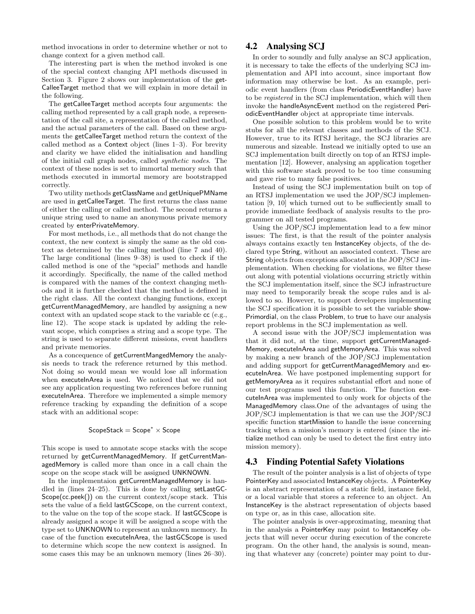method invocations in order to determine whether or not to change context for a given method call.

The interesting part is when the method invoked is one of the special context changing API methods discussed in Section [3.](#page-2-0) Figure [2](#page-3-0) shows our implementation of the get-CalleeTarget method that we will explain in more detail in the following.

The getCalleeTarget method accepts four arguments: the calling method represented by a call graph node, a representation of the call site, a representation of the called method, and the actual parameters of the call. Based on these arguments the getCalleeTarget method return the context of the called method as a Context object (lines [1](#page-3-1)[–3\)](#page-3-2). For brevity and clarity we have elided the initialisation and handling of the initial call graph nodes, called synthetic nodes. The context of these nodes is set to immortal memory such that methods executed in immortal memory are bootstrapped correctly.

Two utility methods getClassName and getUniquePMName are used in getCalleeTarget. The first returns the class name of either the calling or called method. The second returns a unique string used to name an anonymous private memory created by enterPrivateMemory.

For most methods, i.e., all methods that do not change the context, the new context is simply the same as the old context as determined by the calling method (line [7](#page-3-3) and [40\)](#page-3-4). The large conditional (lines [9–](#page-3-5)[38\)](#page-3-6) is used to check if the called method is one of the "special" methods and handle it accordingly. Specifically, the name of the called method is compared with the names of the context changing methods and it is further checked that the method is defined in the right class. All the context changing functions, except getCurrentManagedMemory, are handled by assigning a new context with an updated scope stack to the variable cc (e.g., line [12\)](#page-3-7). The scope stack is updated by adding the relevant scope, which comprises a string and a scope type. The string is used to separate different missions, event handlers and private memories.

As a concequence of getCurrentMangedMemory the analysis needs to track the reference returned by this method. Not doing so would mean we would lose all information when executeInArea is used. We noticed that we did not see any application requesting two references before running executeInArea. Therefore we implemented a simple memory reference tracking by expanding the definition of a scope stack with an additional scope:

## $ScopeStack = Score^* \times Score$

This scope is used to annotate scope stacks with the scope returned by getCurrentManagedMemory. If getCurrentManagedMemory is called more than once in a call chain the scope on the scope stack will be assigned UNKNOWN.

In the implementaion getCurrentManagedMemory is handled in (lines [24–](#page-3-8)[25\)](#page-3-9). This is done by calling setLastGC-Scope(cc.peek()) on the current context/scope stack. This sets the value of a field lastGCScope, on the current context, to the value on the top of the scope stack. If lastGCScope is already assigned a scope it will be assigned a scope with the type set to UNKNOWN to represent an unknown memory. In case of the function executeInArea, the lastGCScope is used to determine which scope the new context is assigned. In some cases this may be an unknown memory (lines [26–](#page-3-10)[30\)](#page-3-11).

# 4.2 Analysing SCJ

In order to soundly and fully analyse an SCJ application, it is necessary to take the effects of the underlying SCJ implementation and API into account, since important flow information may otherwise be lost. As an example, periodic event handlers (from class PeriodicEventHandler) have to be registered in the SCJ implementation, which will then invoke the handleAsyncEvent method on the registered PeriodicEventHandler object at appropriate time intervals.

One possible solution to this problem would be to write stubs for all the relevant classes and methods of the SCJ. However, true to its RTSJ heritage, the SCJ libraries are numerous and sizeable. Instead we initially opted to use an SCJ implementation built directly on top of an RTSJ implementation [\[12\]](#page-8-9). However, analysing an application together with this software stack proved to be too time consuming and gave rise to many false positives.

Instead of using the SCJ implementation built on top of an RTSJ implementation we used the JOP/SCJ implementation [\[9,](#page-8-4) [10\]](#page-8-10) which turned out to be suffieciently small to provide immediate feedback of analysis results to the programmer on all tested programs.

Using the JOP/SCJ implementation lead to a few minor issues: The first, is that the result of the pointer analysis always contains exactly ten InstanceKey objects, of the declared type String, without an associated context. These are String objects from exceptions allocated in the JOP/SCJ implementation. When checking for violations, we filter these out along with potential violations occurring strictly within the SCJ implementation itself, since the SCJ infrastructure may need to temporarily break the scope rules and is allowed to so. However, to support developers implementing the SCJ specification it is possible to set the variable show-Primordial, on the class Problem, to true to have our analysis report problems in the SCJ implementation as well.

A second issue with the JOP/SCJ implementation was that it did not, at the time, support getCurrentManaged-Memory, executeInArea and getMemoryArea. This was solved by making a new branch of the JOP/SCJ implementation and adding support for getCurrentManagedMemory and executeInArea. We have postponed implementing support for getMemoryArea as it requires substantial effort and none of our test programs used this function. The function executeInArea was implemented to only work for objects of the ManagedMemory class.One of the advantages of using the JOP/SCJ implementation is that we can use the JOP/SCJ specific function startMission to handle the issue concerning tracking when a mission's memory is entered (since the initialize method can only be used to detect the first entry into mission memory).

## 4.3 Finding Potential Safety Violations

The result of the pointer analysis is a list of objects of type PointerKey and associated InstanceKey objects. A PointerKey is an abstract representation of a static field, instance field, or a local variable that stores a reference to an object. An InstanceKey is the abstract representation of objects based on type or, as in this case, allocation site.

The pointer analysis is over-approximating, meaning that in the analysis a PointerKey may point to InstanceKey objects that will never occur during execution of the concrete program. On the other hand, the analysis is sound, meaning that whatever any (concrete) pointer may point to dur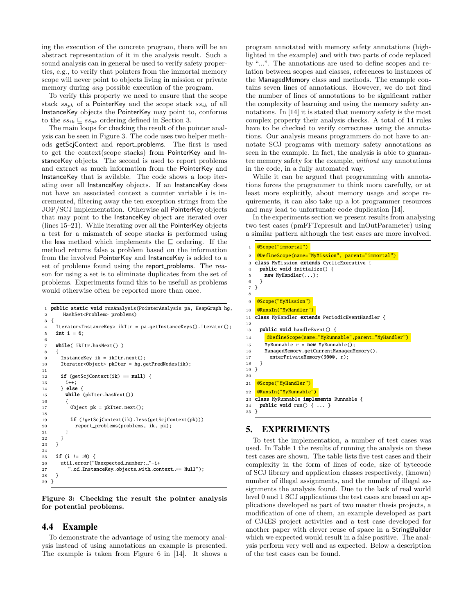ing the execution of the concrete program, there will be an abstract representation of it in the analysis result. Such a sound analysis can in general be used to verify safety properties, e.g., to verify that pointers from the immortal memory scope will never point to objects living in mission or private memory during any possible execution of the program.

To verify this property we need to ensure that the scope stack  $ss_{pk}$  of a PointerKey and the scope stack  $ss_{ik}$  of all InstanceKey objects the PointerKey may point to, conforms to the  $ss_{ik} \sqsubseteq ss_{pk}$  ordering defined in Section [3.](#page-2-0)

The main loops for checking the result of the pointer analysis can be seen in Figure [3.](#page-5-0) The code uses two helper methods getScjContext and report problems. The first is used to get the context(scope stacks) from PointerKey and InstanceKey objects. The second is used to report problems and extract as much information from the PointerKey and InstanceKey that is avilable. The code shows a loop iterating over all InstanceKey objects. If an InstanceKey does not have an associated context a counter variable i is incremented, filtering away the ten exception strings from the JOP/SCJ implementation. Otherwise all PointerKey objects that may point to the InstanceKey object are iterated over (lines [15](#page-5-1)[–21\)](#page-5-2). While iterating over all the PointerKey objects a test for a mismatch of scope stacks is performed using the less method which implements the  $\sqsubseteq$  ordering. If the method returns false a problem based on the information from the involved PointerKey and InstanceKey is added to a set of problems found using the report\_problems. The reason for using a set is to eliminate duplicates from the set of problems. Experiments found this to be usefull as problems would otherwise often be reported more than once.

```
1 public static void runAnalysis(PointerAnalysis pa, HeapGraph hg
2 HashSet<Problem> problems)
3 {
 4 Iterator<InstanceKey> ikItr = pa.getInstanceKeys().iterator();
 5 int i = 0;
 6
     while( ikItr.hasNext() )
 8 {
 9 InstanceKey ik = ikItr.next();
10 Iterator<Object> pkIter = hg.getPredNodes(ik);
11
12 if (getScjContext(ik) == null) {<br>13 i++:
        i++:
14 } else {<br>15 while
         while (pkIter.hasNext())
16 {
17 Object pk = pkIter.next();
18
19 if (!getScjContext(ik).less(getScjContext(pk)))
20 report_problems(problems, ik, pk);
21\begin{array}{cc} 22 & \phantom{0}3 \\ 23 & \phantom{0}3 \end{array}23 }
24
25 if (i != 10) {
26 util.error("Unexpected_number:_"+i+
27 "\_of\_InstanceKey\_objects\_with\_context\_==\_Null";<br>
28 }
28 }
29 }
```
<span id="page-5-2"></span><span id="page-5-0"></span>Figure 3: Checking the result the pointer analysis for potential problems.

## 4.4 Example

To demonstrate the advantage of using the memory analysis instead of using annotations an example is presented. The example is taken from Figure 6 in [\[14\]](#page-8-7). It shows a program annotated with memory safety annotations (highlighted in the example) and with two parts of code replaced by "...". The annotations are used to define scopes and relation between scopes and classes, references to instances of the ManagedMemory class and methods. The example contains seven lines of annotations. However, we do not find the number of lines of annotations to be significant rather the complexity of learning and using the memory safety an-notations. In [\[14\]](#page-8-7) it is stated that memory safety is the most complex property their analysis checks. A total of 14 rules have to be checked to verify correctness using the annotations. Our analysis means programmers do not have to annotate SCJ programs with memory safety annotations as seen in the example. In fact, the analysis is able to guarantee memory safety for the example, without any annotations in the code, in a fully automated way.

While it can be argued that programming with annotations forces the programmer to think more carefully, or at least more explicitly, about memory usage and scope requirements, it can also take up a lot programmer resources and may lead to unfortunate code duplication [\[14\]](#page-8-7).

In the experiments section we present results from analysing two test cases (pmFFTcpresult and InOutParameter) using a similar pattern although the test cases are more involved.

```
1 @Scope("immortal")
2 @DefineScope(name="MyMission", parent="immortal")
3 class MyMission extends CyclicExecutive {
 4 public void initialize() {
5 new MyHandler(...);
6 }
 7 }
 8
9 @Scope("MyMission")
10 @RunsIn("MyHandler")
11 class MyHandler extends PeriodicEventHandler {
12
13 public void handleEvent() {
14 @DefineScope(name="MyRunnable",parent="MyHandler")
15 MyRunnable r = new MvRunnable():
16 ManagedMemory.getCurrentManagedMemory().
17 enterPrivateMemory(3000, r);
18 }
19 }
20
21 @Scope("MyHandler")
22 @RunsIn("MyRunnable")
23 class MyRunnable implements Runnable {
24 public void run() { ... }
25 }
```
# 5. EXPERIMENTS

To test the implementation, a number of test cases was used. In Table [1](#page-6-0) the results of running the analysis on these test cases are shown. The table lists five test cases and their complexity in the form of lines of code, size of bytecode of SCJ library and application classes respectively, (known) number of illegal assignments, and the number of illegal assignments the analysis found. Due to the lack of real world level 0 and 1 SCJ applications the test cases are based on applications developed as part of two master thesis projects, a modification of one of them, an example developed as part of CJ4ES project activities and a test case developed for another paper with clever reuse of space in a StringBuilder which we expected would result in a false positive. The analysis perform very well and as expected. Below a description of the test cases can be found.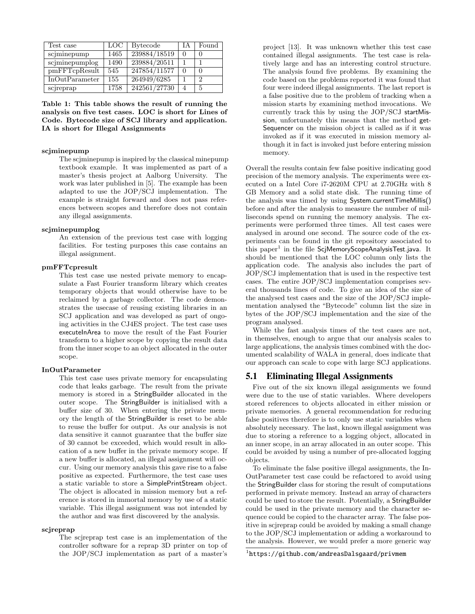| Test case            | LOC. | <b>Bytecode</b> | IΑ | Found         |
|----------------------|------|-----------------|----|---------------|
| sciminepump          | 1465 | 239884/18519    |    |               |
| sciminepumplog       | 1490 | 239884/20511    |    |               |
| $pm$ FFT $cp$ Result | 545  | 247854/11577    |    |               |
| InOutParameter       | 155  | 264949/6285     |    | $\mathcal{D}$ |
| scjreprap            | 1758 | 242561/27730    |    | 5             |

Table 1: This table shows the result of running the analysis on five test cases. LOC is short for Lines of Code. Bytecode size of SCJ library and application. IA is short for Illegal Assignments

## scjminepump

The scjminepump is inspired by the classical minepump textbook example. It was implemented as part of a master's thesis project at Aalborg University. The work was later published in [\[5\]](#page-8-11). The example has been adapted to use the JOP/SCJ implementation. The example is straight forward and does not pass references between scopes and therefore does not contain any illegal assignments.

### scjminepumplog

An extension of the previous test case with logging facilities. For testing purposes this case contains an illegal assignment.

## pmFFTcpresult

This test case use nested private memory to encapsulate a Fast Fourier transform library which creates temporary objects that would otherwise have to be reclaimed by a garbage collector. The code demonstrates the usecase of reusing existing libraries in an SCJ application and was developed as part of ongoing activities in the CJ4ES project. The test case uses executeInArea to move the result of the Fast Fourier transform to a higher scope by copying the result data from the inner scope to an object allocated in the outer scope.

#### InOutParameter

This test case uses private memory for encapsulating code that leaks garbage. The result from the private memory is stored in a StringBuilder allocated in the outer scope. The StringBuilder is initialised with a buffer size of 30. When entering the private memory the length of the StringBuilder is reset to be able to reuse the buffer for output. As our analysis is not data sensitive it cannot guarantee that the buffer size of 30 cannot be exceeded, which would result in allocation of a new buffer in the private memory scope. If a new buffer is allocated, an illegal assignment will occur. Using our memory analysis this gave rise to a false positive as expected. Furthermore, the test case uses a static variable to store a SimplePrintStream object. The object is allocated in mission memory but a reference is stored in immortal memory by use of a static variable. This illegal assignment was not intended by the author and was first discovered by the analysis.

#### scjreprap

The scjreprap test case is an implementation of the controller software for a reprap 3D printer on top of the JOP/SCJ implementation as part of a master's

<span id="page-6-0"></span>project [\[13\]](#page-8-12). It was unknown whether this test case contained illegal assignments. The test case is relatively large and has an interesting control structure. The analysis found five problems. By examining the code based on the problems reported it was found that four were indeed illegal assignments. The last report is a false positive due to the problem of tracking when a mission starts by examining method invocations. We currently track this by using the JOP/SCJ startMission, unfortunately this means that the method get-Sequencer on the mission object is called as if it was invoked as if it was executed in mission memory although it in fact is invoked just before entering mission memory.

Overall the results contain few false positive indicating good precision of the memory analysis. The experiments were executed on a Intel Core i7-2620M CPU at 2.70GHz with 8 GB Memory and a solid state disk. The running time of the analysis was timed by using System.currentTimeMillis() before and after the analysis to measure the number of milliseconds spend on running the memory analysis. The experiments were performed three times. All test cases were analysed in around one second. The source code of the experiments can be found in the git repository associated to this  $\text{paper}^1$  $\text{paper}^1$  in the file <code>ScjMemoryScopeAnalysisTest.java</code>. It should be mentioned that the LOC column only lists the application code. The analysis also includes the part of JOP/SCJ implementation that is used in the respective test cases. The entire JOP/SCJ implementation comprises several thousands lines of code. To give an idea of the size of the analysed test cases and the size of the JOP/SCJ implementation analysed the "Bytecode" column list the size in bytes of the JOP/SCJ implementation and the size of the program analysed.

While the fast analysis times of the test cases are not, in themselves, enough to argue that our analysis scales to large applications, the analysis times combined with the documented scalability of WALA in general, does indicate that our approach can scale to cope with large SCJ applications.

## 5.1 Eliminating Illegal Assignments

Five out of the six known illegal assignments we found were due to the use of static variables. Where developers stored references to objects allocated in either mission or private memories. A general recommendation for reducing false positives therefore is to only use static variables when absolutely necessary. The last, known illegal assignment was due to storing a reference to a logging object, allocated in an inner scope, in an array allocated in an outer scope. This could be avoided by using a number of pre-allocated logging objects.

To eliminate the false positive illegal assignments, the In-OutParameter test case could be refactored to avoid using the StringBuilder class for storing the result of computations performed in private memory. Instead an array of characters could be used to store the result. Potentially, a StringBuilder could be used in the private memory and the character sequence could be copied to the character array. The false positive in scjreprap could be avoided by making a small change to the JOP/SCJ implementation or adding a workaround to the analysis. However, we would prefer a more generic way

<span id="page-6-1"></span><sup>1</sup> <https://github.com/andreasDalsgaard/privmem>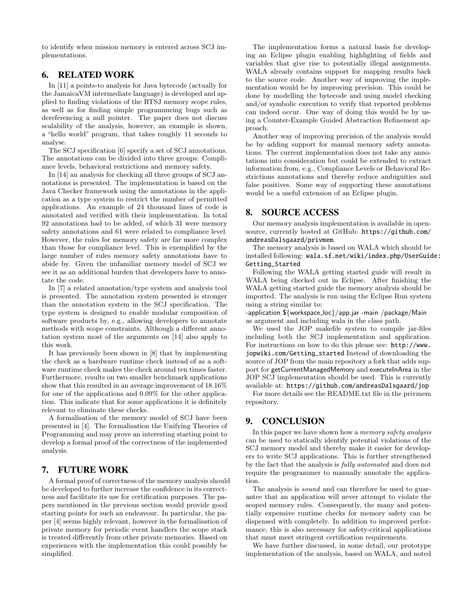to identify when mission memory is entered across SCJ implementations.

# 6. RELATED WORK

In [\[11\]](#page-8-8) a points-to analysis for Java bytecode (actually for the JamaicaVM intermediate language) is developed and applied to finding violations of the RTSJ memory scope rules, as well as for finding simple programmeing bugs such as dereferencing a null pointer. The paper does not discuss scalability of the analysis, however, an example is shown, a "hello world" program, that takes roughly 11 seconds to analyse.

The SCJ specification [\[6\]](#page-8-1) specify a set of SCJ annotations. The annotations can be divided into three groups: Compliance levels, behavioral restrictions and memory safety.

In [\[14\]](#page-8-7) an analysis for checking all three groups of SCJ annotations is presented. The implementation is based on the Java Checker framework using the annotations in the application as a type system to restrict the number of permitted applications. An example of 24 thousand lines of code is annotated and verified with their implementation. In total 92 annotations had to be added, of which 31 were memory safety annotations and 61 were related to compliance level. However, the rules for memory safety are far more complex than those for compliance level. This is exemplified by the large number of rules memory safety annotations have to abide by. Given the unfamiliar memory model of SCJ we see it as an additional burden that developers have to annotate the code.

In [\[7\]](#page-8-13) a related annotation/type system and analysis tool is presented. The annotation system presented is stronger than the annotation system in the SCJ specification. The type system is designed to enable modular composition of software products by, e.g., allowing developers to annotate methods with scope constraints. Although a different annotation system most of the arguments on [\[14\]](#page-8-7) also apply to this work.

It has previously been shown in [\[8\]](#page-8-2) that by implementing the check as a hardware runtime check instead of as a software runtime check makes the check around ten times faster. Furthermore, results on two smaller benchmark applications show that this resulted in an average improvement of 18.16% for one of the applications and 0.09% for the other application. This indicate that for some applications it is definitely relevant to eliminate these checks.

A formalisation of the memory model of SCJ have been presented in [\[4\]](#page-8-14). The formalisation the Unifying Theories of Programming and may prove an interesting starting point to develop a formal proof of the correctness of the implemented analysis.

# 7. FUTURE WORK

A formal proof of correctness of the memory analysis should be developed to further increase the confidence in its correctness and facilitate its use for certification purposes. The papers mentioned in the previous section would provide good starting points for such an endeavour. In particular, the paper [\[4\]](#page-8-14) seems highly relevant, however in the formalisation of private memory for periodic event handlers the scope stack is treated differently from other private memories. Based on experiences with the implementation this could possibly be simplified.

The implementation forms a natural basis for developing an Eclipse plugin enabling highlighting of fields and variables that give rise to potentially illegal assignments. WALA already contains support for mapping results back to the source code. Another way of improving the implementation would be by improving precision. This could be done by modelling the bytecode and using model checking and/or symbolic execution to verify that reported problems can indeed occur. One way of doing this would be by using a Counter-Example Guided Abstraction Refinement approach.

Another way of improving precision of the analysis would be by adding support for manual memory safety annotations. The current implementation does not take any annotations into consideration but could be extended to extract information from, e.g., Compliance Levels or Behavioral Restrictions annotations and thereby reduce ambiguities and false positives. Some way of supporting these annotations would be a useful extension of an Eclipse plugin.

## 8. SOURCE ACCESS

Our memory analysis implementation is available in opensource, currently hosted at GitHub: [https://github.com/](https://github.com/andreasDalsgaard/privmem) [andreasDalsgaard/privmem](https://github.com/andreasDalsgaard/privmem).

The memory analysis is based on WALA which should be installed following: [wala.sf.net/wiki/index.php/UserGuid](wala.sf.net/wiki/index.php/UserGuide:Getting_Started)e: [Getting\\_Started](wala.sf.net/wiki/index.php/UserGuide:Getting_Started)

Following the WALA getting started guide will result in WALA being checked out in Eclipse. After finishing the WALA getting started guide the memory analysis should be imported. The analysis is run using the Eclipse Run system using a string similar to:

-application  $\{\text{workspace\_loc}\}/\text{app}$  jar -main /package/Main as argument and including wala in the class path.

We used the JOP makefile system to compile jar-files including both the SCJ implementation and application. For instructions on how to do this please see: [http://www.](http://www.jopwiki.com/Getting_started) [jopwiki.com/Getting\\_started](http://www.jopwiki.com/Getting_started) Instead of downloading the source of JOP from the main repository a fork that adds support for getCurrentManagedMemory and executeInArea in the JOP SCJ implementation should be used. This is currently available at: <https://github.com/andreasDalsgaard/jop>

For more details see the README.txt file in the privmem repository.

# 9. CONCLUSION

In this paper we have shown how a memory safety analysis can be used to statically identify potential violations of the SCJ memory model and thereby make it easier for developers to write SCJ applications. This is further strengthened by the fact that the analysis is fully automated and does not require the programmer to manually annotate the application.

The analysis is *sound* and can therefore be used to guarantee that an application will never attempt to violate the scoped memory rules. Consequently, the many and potentially expensive runtime checks for memory safety can be dispensed with completely. In addition to improved performance, this is also necessary for safety-critical applications that must meet stringent certification requirements.

We have further discussed, in some detail, our prototype implementation of the analysis, based on WALA, and noted